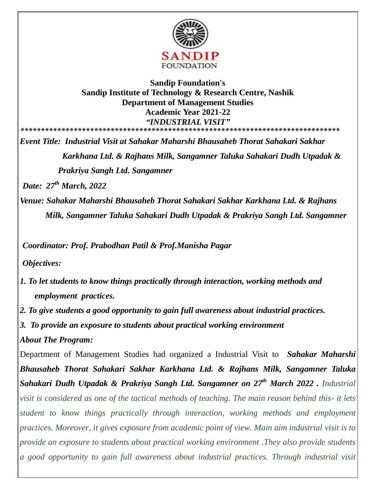

## **Sandip Foundation's Sandip Institute of Technology & Research Centre, Nashik Department of Management Studies Academic Year 2021-22** *"INDUSTRIAL VISIT"* **\*\*\*\*\*\*\*\*\*\*\*\*\*\*\*\*\*\*\*\*\*\*\*\*\*\*\*\*\*\*\*\*\*\*\*\*\*\*\*\*\*\*\*\*\*\*\*\*\*\*\*\*\*\*\*\*\*\*\*\*\*\*\*\*\*\*\*\*\*\*\*\*\*\*\*\*\*\***

*Event Title: Industrial Visit at Sahakar Maharshi Bhausaheb Thorat Sahakari Sakhar Karkhana Ltd. & Rajhans Milk, Sangamner Taluka Sahakari Dudh Utpadak & Prakriya Sangh Ltd. Sangamner*

*Date: 27th March, 2022*

*Venue: Sahakar Maharshi Bhausaheb Thorat Sahakari Sakhar Karkhana Ltd. & Rajhans Milk, Sangamner Taluka Sahakari Dudh Utpadak & Prakriya Sangh Ltd. Sangamner*

*Coordinator: Prof. Prabodhan Patil & Prof.Manisha Pagar* 

*Objectives:*

- *1. To let students to know things practically through interaction, working methods and employment practices.*
- *2. To give students a good opportunity to gain full awareness about industrial practices.*
- *3. To provide an exposure to students about practical working environment*

*About The Program:* 

Department of Management Studies had organized a Industrial Visit to *Sahakar Maharshi Bhausaheb Thorat Sahakari Sakhar Karkhana Ltd. & Rajhans Milk, Sangamner Taluka Sahakari Dudh Utpadak & Prakriya Sangh Ltd. Sangamner on 27th March 2022 . Industrial visit is considered as one of the tactical methods of teaching. The main reason behind this- it lets student to know things practically through interaction, working methods and employment practices. Moreover, it gives exposure from academic point of view. Main aim industrial visit is to provide an exposure to students about practical working environment .They also provide students a good opportunity to gain full awareness about industrial practices. Through industrial visit*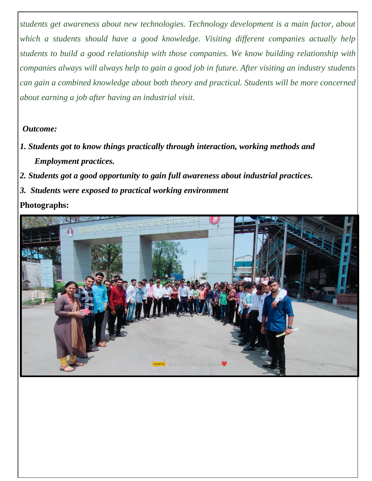*students get awareness about new technologies. Technology development is a main factor, about which a students should have a good knowledge. Visiting different companies actually help students to build a good relationship with those companies. We know building relationship with companies always will always help to gain a good job in future. After visiting an industry students can gain a combined knowledge about both theory and practical. Students will be more concerned about earning a job after having an industrial visit.*

## *Outcome:*

- *1. Students got to know things practically through interaction, working methods and Employment practices.*
- *2. Students got a good opportunity to gain full awareness about industrial practices.*
- *3. Students were exposed to practical working environment*

**Photographs:**